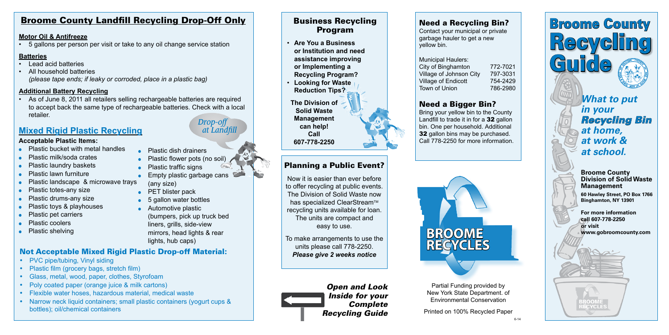# Broome County Landfill Recycling Drop-Off Only

#### **Motor Oil & Antifreeze**

• 5 gallons per person per visit or take to any oil change service station

### **Batteries**

- Lead acid batteries
- All household batteries *(please tape ends; if leaky or corroded, place in a plastic bag)*

### **Additional Battery Recycling**

• As of June 8, 2011 all retailers selling rechargeable batteries are required to accept back the same type of rechargeable batteries. Check with a local retailer.

# **Mixed Rigid Plastic Recycling** *at Landfill*

- PVC pipe/tubing, Vinyl siding
- Plastic film (grocery bags, stretch film)
- Glass, metal, wood, paper, clothes, Styrofoam
- Poly coated paper (orange juice & milk cartons)
- Flexible water hoses, hazardous material, medical waste
- Narrow neck liquid containers; small plastic containers (yogurt cups & bottles); oil/chemical containers

# Not Acceptable Mixed Rigid Plastic Drop-off Material:

Municipal Haulers: City of Binghamton 772-7021 Village of Johnson City 797-3031 Village of Endicott 754-2429 Town of Union 786-2980



#### **Broome County Division of Solid Waste Management**

**60 Hawley Street, PO Box 1766 Binghamton, NY 13901**

**For more information call 607-778-2250 or visit www.gobroomcounty.com**

**ECYCLES** 

*What to put in your Recycling Bin at home, at work & at school.* 



Printed on 100% Recycled Paper

Partial Funding provided by New York State Department. of Environmental Conservation

Need a Recycling Bin? Contact your municipal or private garbage hauler to get a new yellow bin.

- **Plastic dish drainers**
- $\bullet$  Plastic flower pots (no soil)
- Plastic traffic signs
- $\bullet$  Empty plastic garbage cans (any size)
- 
- $\bullet$  5 gallon water bottles
- $\bullet$  Automotive plastic
- (bumpers, pick up truck bed liners, grills, side-view mirrors, head lights & rear lights, hub caps)

# Need a Bigger Bin?

Bring your yellow bin to the County Landfill to trade it in for a 32 gallon bin. One per household. Additional **32** gallon bins may be purchased. Call 778-2250 for more information.

# Planning a Public Event?

Now it is easier than ever before to offer recycling at public events. The Division of Solid Waste now has specialized ClearStream™ recycling units available for loan. The units are compact and easy to use.

To make arrangements to use the units please call 778-2250. *Please give 2 weeks notice*

# Business Recycling Program

- **Are You a Business or Institution and need assistance improving or Implementing a Recycling Program?**
- **Looking for Waste Reduction Tips?**

**The Division of Solid Waste Management can help! Call 607-778-2250**



6-14

# *Drop-off*

- 
- PET blister pack
- 
- 

#### **Acceptable Plastic Items:**

- $\bullet$  Plastic bucket with metal handles
- <sup>l</sup>Plastic milk/soda crates
- **Plastic laundry baskets**
- **Plastic lawn furniture**
- Plastic landscape & microwave trays
- Plastic totes-any size
- Plastic drums-any size
- Plastic toys & playhouses
- Plastic pet carriers
- Plastic coolers
- Plastic shelving